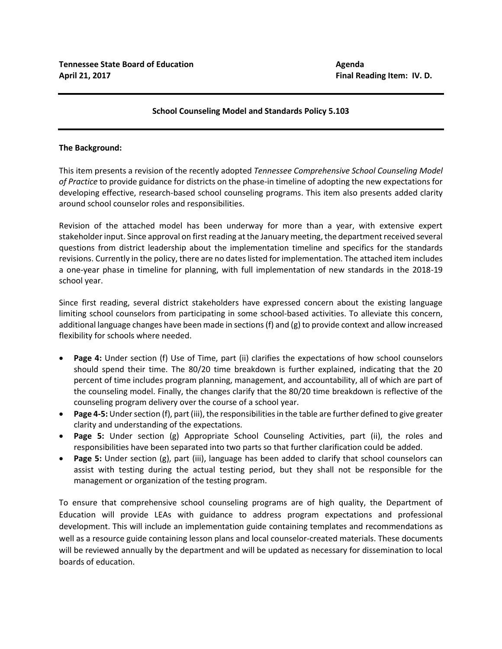## **School Counseling Model and Standards Policy 5.103**

## **The Background:**

This item presents a revision of the recently adopted *Tennessee Comprehensive School Counseling Model of Practice* to provide guidance for districts on the phase-in timeline of adopting the new expectations for developing effective, research-based school counseling programs. This item also presents added clarity around school counselor roles and responsibilities.

Revision of the attached model has been underway for more than a year, with extensive expert stakeholder input. Since approval on first reading at the January meeting, the department received several questions from district leadership about the implementation timeline and specifics for the standards revisions. Currently in the policy, there are no dates listed for implementation. The attached item includes a one-year phase in timeline for planning, with full implementation of new standards in the 2018-19 school year.

Since first reading, several district stakeholders have expressed concern about the existing language limiting school counselors from participating in some school-based activities. To alleviate this concern, additional language changes have been made in sections (f) and (g) to provide context and allow increased flexibility for schools where needed.

- **Page 4:** Under section (f) Use of Time, part (ii) clarifies the expectations of how school counselors should spend their time. The 80/20 time breakdown is further explained, indicating that the 20 percent of time includes program planning, management, and accountability, all of which are part of the counseling model. Finally, the changes clarify that the 80/20 time breakdown is reflective of the counseling program delivery over the course of a school year.
- **Page 4-5:** Under section (f), part (iii), the responsibilities in the table are further defined to give greater clarity and understanding of the expectations.
- **Page 5:** Under section (g) Appropriate School Counseling Activities, part (ii), the roles and responsibilities have been separated into two parts so that further clarification could be added.
- **Page 5:** Under section (g), part (iii), language has been added to clarify that school counselors can assist with testing during the actual testing period, but they shall not be responsible for the management or organization of the testing program.

To ensure that comprehensive school counseling programs are of high quality, the Department of Education will provide LEAs with guidance to address program expectations and professional development. This will include an implementation guide containing templates and recommendations as well as a resource guide containing lesson plans and local counselor-created materials. These documents will be reviewed annually by the department and will be updated as necessary for dissemination to local boards of education.